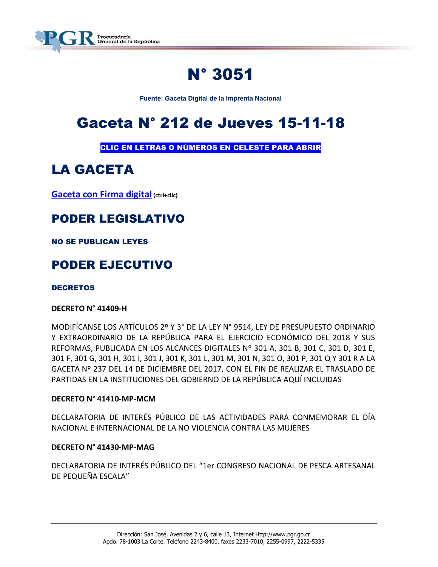

# N° 3051

**Fuente: Gaceta Digital de la Imprenta Nacional**

# Gaceta N° 212 de Jueves 15-11-18

CLIC EN LETRAS O NÚMEROS EN CELESTE PARA ABRIR

# LA GACETA

**[Gaceta con Firma digital](https://www.imprentanacional.go.cr/pub/2018/11/15/COMP_15_11_2018.pdf) (ctrl+clic)**

## PODER LEGISLATIVO

NO SE PUBLICAN LEYES

## PODER EJECUTIVO

#### **DECRETOS**

#### **DECRETO N° 41409-H**

MODIFÍCANSE LOS ARTÍCULOS 2º Y 3° DE LA LEY N° 9514, LEY DE PRESUPUESTO ORDINARIO Y EXTRAORDINARIO DE LA REPÚBLICA PARA EL EJERCICIO ECONÓMICO DEL 2018 Y SUS REFORMAS, PUBLICADA EN LOS ALCANCES DIGITALES Nº 301 A, 301 B, 301 C, 301 D, 301 E, 301 F, 301 G, 301 H, 301 I, 301 J, 301 K, 301 L, 301 M, 301 N, 301 O, 301 P, 301 Q Y 301 R A LA GACETA Nº 237 DEL 14 DE DICIEMBRE DEL 2017, CON EL FIN DE REALIZAR EL TRASLADO DE PARTIDAS EN LA INSTITUCIONES DEL GOBIERNO DE LA REPÚBLICA AQUÍ INCLUIDAS

#### **DECRETO N° 41410-MP-MCM**

DECLARATORIA DE INTERÉS PÚBLICO DE LAS ACTIVIDADES PARA CONMEMORAR EL DÍA NACIONAL E INTERNACIONAL DE LA NO VIOLENCIA CONTRA LAS MUJERES

#### **DECRETO N° 41430-MP-MAG**

DECLARATORIA DE INTERÉS PÚBLICO DEL "1er CONGRESO NACIONAL DE PESCA ARTESANAL DE PEQUEÑA ESCALA"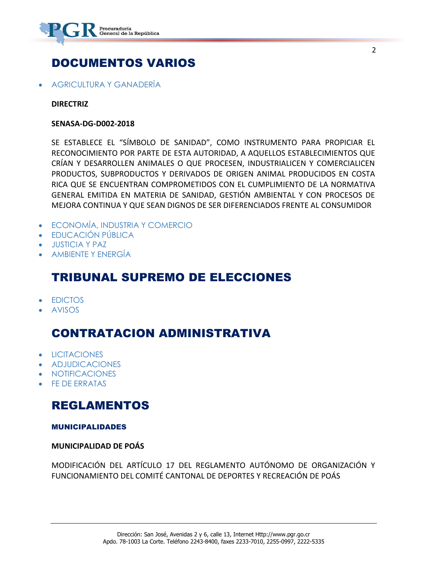

## DOCUMENTOS VARIOS

[AGRICULTURA Y GANADERÍA](https://www.imprentanacional.go.cr/gaceta/?date=15/11/2018#agricultura-y-ganadera)

#### **DIRECTRIZ**

#### **SENASA-DG-D002-2018**

SE ESTABLECE EL "SÍMBOLO DE SANIDAD", COMO INSTRUMENTO PARA PROPICIAR EL RECONOCIMIENTO POR PARTE DE ESTA AUTORIDAD, A AQUELLOS ESTABLECIMIENTOS QUE CRÍAN Y DESARROLLEN ANIMALES O QUE PROCESEN, INDUSTRIALICEN Y COMERCIALICEN PRODUCTOS, SUBPRODUCTOS Y DERIVADOS DE ORIGEN ANIMAL PRODUCIDOS EN COSTA RICA QUE SE ENCUENTRAN COMPROMETIDOS CON EL CUMPLIMIENTO DE LA NORMATIVA GENERAL EMITIDA EN MATERIA DE SANIDAD, GESTIÓN AMBIENTAL Y CON PROCESOS DE MEJORA CONTINUA Y QUE SEAN DIGNOS DE SER DIFERENCIADOS FRENTE AL CONSUMIDOR

- [ECONOMÍA, INDUSTRIA Y COMERCIO](https://www.imprentanacional.go.cr/gaceta/?date=15/11/2018#economa-industria-y-comercio)
- [EDUCACIÓN PÚBLICA](https://www.imprentanacional.go.cr/gaceta/?date=15/11/2018#educacin-pblica)
- [JUSTICIA Y PAZ](https://www.imprentanacional.go.cr/gaceta/?date=15/11/2018#justicia-y-paz)
- [AMBIENTE Y ENERGÍA](https://www.imprentanacional.go.cr/gaceta/?date=15/11/2018#ambiente-y-energa)

### TRIBUNAL SUPREMO DE ELECCIONES

- [EDICTOS](https://www.imprentanacional.go.cr/gaceta/?date=15/11/2018#edictos)
- [AVISOS](https://www.imprentanacional.go.cr/gaceta/?date=15/11/2018#avisos)

### CONTRATACION ADMINISTRATIVA

- **•** [LICITACIONES](https://www.imprentanacional.go.cr/gaceta/?date=15/11/2018#licitaciones)
- [ADJUDICACIONES](https://www.imprentanacional.go.cr/gaceta/?date=15/11/2018#adjudicaciones)
- [NOTIFICACIONES](https://www.imprentanacional.go.cr/gaceta/?date=15/11/2018#notificaciones)
- [FE DE ERRATAS](https://www.imprentanacional.go.cr/gaceta/?date=15/11/2018#fe-de-erratas)

### REGLAMENTOS

#### [MUNICIPALIDADES](https://www.imprentanacional.go.cr/gaceta/#municipalidades)

#### **MUNICIPALIDAD DE POÁS**

MODIFICACIÓN DEL ARTÍCULO 17 DEL REGLAMENTO AUTÓNOMO DE ORGANIZACIÓN Y FUNCIONAMIENTO DEL COMITÉ CANTONAL DE DEPORTES Y RECREACIÓN DE POÁS